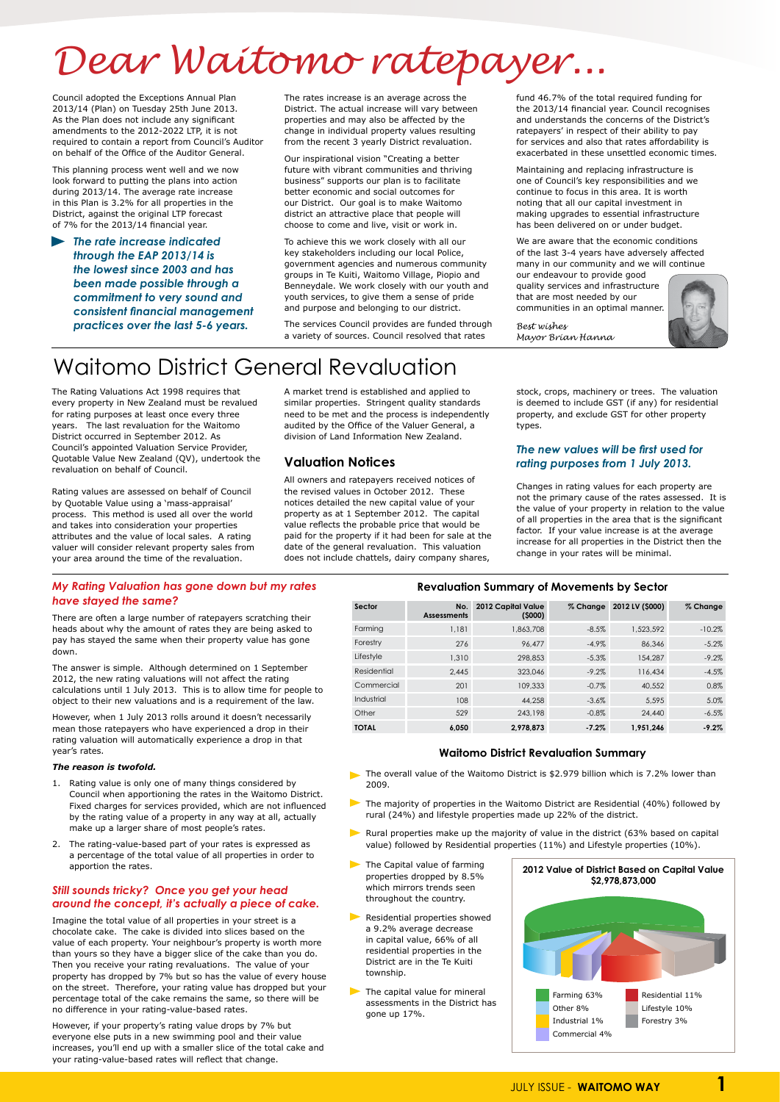# **Revaluation Summary of Movements by Sector**

| Sector       | No.<br><b>Assessments</b> | 2012 Capital Value<br>(5000) | % Change | 2012 LV (\$000) | % Change |
|--------------|---------------------------|------------------------------|----------|-----------------|----------|
| Farming      | 1,181                     | 1,863,708                    | $-8.5%$  | 1,523,592       | $-10.2%$ |
| Forestry     | 276                       | 96.477                       | $-4.9\%$ | 86,346          | $-5.2%$  |
| Lifestyle    | 1,310                     | 298,853                      | $-5.3%$  | 154,287         | $-9.2%$  |
| Residential  | 2.445                     | 323,046                      | $-9.2\%$ | 116,434         | $-4.5%$  |
| Commercial   | 201                       | 109,333                      | $-0.7%$  | 40,552          | 0.8%     |
| Industrial   | 108                       | 44,258                       | $-3.6\%$ | 5.595           | 5.0%     |
| Other        | 529                       | 243,198                      | $-0.8%$  | 24,440          | $-6.5%$  |
| <b>TOTAL</b> | 6.050                     | 2.978.873                    | $-7.2%$  | 1.951.246       | $-9.2%$  |

### **Waitomo District Revaluation Summary**

# *Dear Waitomo ratepayer...*

Council adopted the Exceptions Annual Plan 2013/14 (Plan) on Tuesday 25th June 2013. As the Plan does not include any significant amendments to the 2012-2022 LTP, it is not required to contain a report from Council's Auditor on behalf of the Office of the Auditor General.

This planning process went well and we now look forward to putting the plans into action during 2013/14. The average rate increase in this Plan is 3.2% for all properties in the District, against the original LTP forecast of 7% for the 2013/14 financial year.

*The rate increase indicated through the EAP 2013/14 is the lowest since 2003 and has been made possible through a commitment to very sound and consistent financial management practices over the last 5-6 years.* 

The rates increase is an average across the District. The actual increase will vary between properties and may also be affected by the change in individual property values resulting from the recent 3 yearly District revaluation.

Our inspirational vision "Creating a better future with vibrant communities and thriving business" supports our plan is to facilitate better economic and social outcomes for our District. Our goal is to make Waitomo district an attractive place that people will choose to come and live, visit or work in.

To achieve this we work closely with all our key stakeholders including our local Police, government agencies and numerous community groups in Te Kuiti, Waitomo Village, Piopio and Benneydale. We work closely with our youth and youth services, to give them a sense of pride and purpose and belonging to our district.

The services Council provides are funded through a variety of sources. Council resolved that rates

fund 46.7% of the total required funding for the 2013/14 financial year. Council recognises and understands the concerns of the District's ratepayers' in respect of their ability to pay for services and also that rates affordability is exacerbated in these unsettled economic times.

Maintaining and replacing infrastructure is one of Council's key responsibilities and we continue to focus in this area. It is worth noting that all our capital investment in making upgrades to essential infrastructure has been delivered on or under budget.

We are aware that the economic conditions of the last 3-4 years have adversely affected many in our community and we will continue

our endeavour to provide good quality services and infrastructure that are most needed by our communities in an optimal manner.

- The overall value of the Waitomo District is \$2.979 billion which is 7.2% lower than 2009.
- The majority of properties in the Waitomo District are Residential (40%) followed by rural (24%) and lifestyle properties made up 22% of the district.
	-
- 2. The rating-value-based part of your rates is expressed as a percentage of the total value of all properties in order to apportion the rates.

The Rating Valuations Act 1998 requires that every property in New Zealand must be revalued for rating purposes at least once every three years. The last revaluation for the Waitomo District occurred in September 2012. As Council's appointed Valuation Service Provider, Quotable Value New Zealand (QV), undertook the revaluation on behalf of Council.

Rating values are assessed on behalf of Council by Quotable Value using a 'mass-appraisal' process. This method is used all over the world and takes into consideration your properties attributes and the value of local sales. A rating valuer will consider relevant property sales from your area around the time of the revaluation.

A market trend is established and applied to similar properties. Stringent quality standards need to be met and the process is independently audited by the Office of the Valuer General, a division of Land Information New Zealand.

- Rural properties make up the majority of value in the district (63% based on capital value) followed by Residential properties (11%) and Lifestyle properties (10%).
- $\blacktriangleright$  The Capital value of farming properties dropped by 8.5% which mirrors trends seen throughout the country.
- **Residential properties showed** a 9.2% average decrease in capital value, 66% of all residential properties in the District are in the Te Kuiti township.
- The capital value for mineral assessments in the District has gone up 17%.

# **Valuation Notices**

All owners and ratepayers received notices of the revised values in October 2012. These notices detailed the new capital value of your property as at 1 September 2012. The capital value reflects the probable price that would be paid for the property if it had been for sale at the date of the general revaluation. This valuation does not include chattels, dairy company shares,

stock, crops, machinery or trees. The valuation is deemed to include GST (if any) for residential property, and exclude GST for other property types.

### *The new values will be first used for rating purposes from 1 July 2013.*

Changes in rating values for each property are not the primary cause of the rates assessed. It is the value of your property in relation to the value of all properties in the area that is the significant factor. If your value increase is at the average increase for all properties in the District then the change in your rates will be minimal.

# Waitomo District General Revaluation

# *My Rating Valuation has gone down but my rates have stayed the same?*

There are often a large number of ratepayers scratching their heads about why the amount of rates they are being asked to pay has stayed the same when their property value has gone down.

The answer is simple. Although determined on 1 September 2012, the new rating valuations will not affect the rating calculations until 1 July 2013. This is to allow time for people to object to their new valuations and is a requirement of the law.

However, when 1 July 2013 rolls around it doesn't necessarily mean those ratepayers who have experienced a drop in their rating valuation will automatically experience a drop in that year's rates.

### *The reason is twofold.*

1. Rating value is only one of many things considered by Council when apportioning the rates in the Waitomo District. Fixed charges for services provided, which are not influenced by the rating value of a property in any way at all, actually make up a larger share of most people's rates.

## *Still sounds tricky? Once you get your head around the concept, it's actually a piece of cake.*

Imagine the total value of all properties in your street is a chocolate cake. The cake is divided into slices based on the value of each property. Your neighbour's property is worth more than yours so they have a bigger slice of the cake than you do. Then you receive your rating revaluations. The value of your property has dropped by 7% but so has the value of every house on the street. Therefore, your rating value has dropped but your percentage total of the cake remains the same, so there will be no difference in your rating-value-based rates.

However, if your property's rating value drops by 7% but everyone else puts in a new swimming pool and their value increases, you'll end up with a smaller slice of the total cake and your rating-value-based rates will reflect that change.





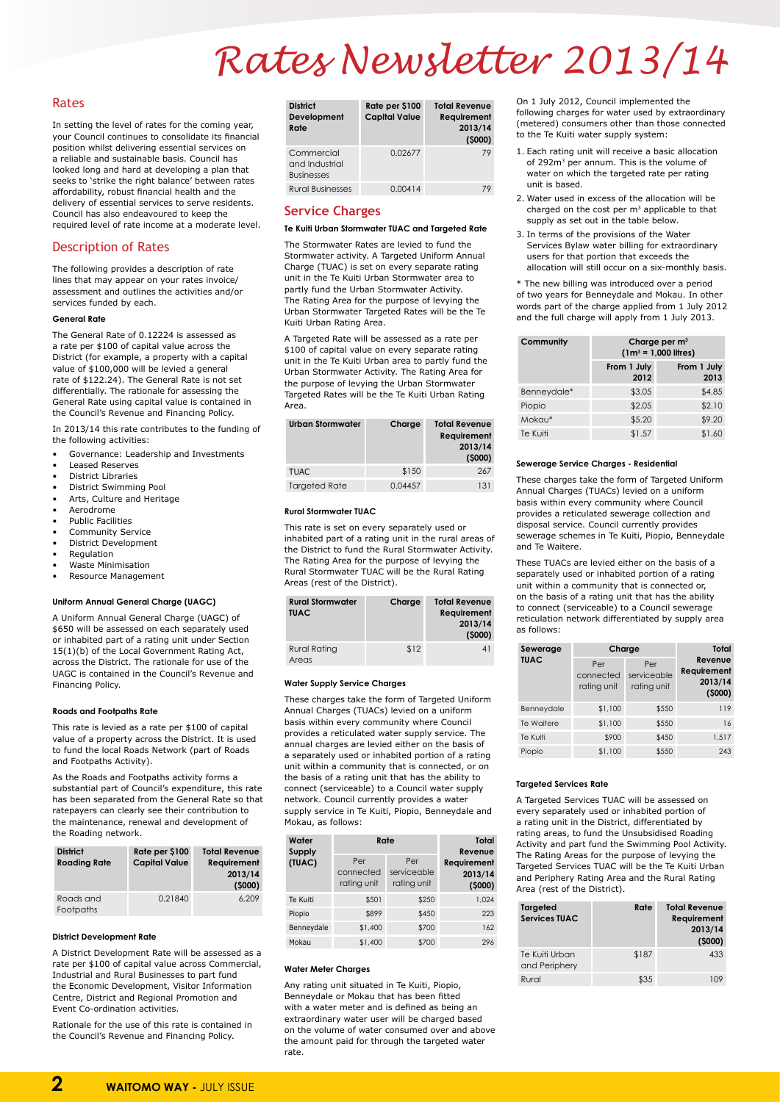# Rates

In setting the level of rates for the coming year, your Council continues to consolidate its financial position whilst delivering essential services on a reliable and sustainable basis. Council has looked long and hard at developing a plan that seeks to 'strike the right balance' between rates affordability, robust financial health and the delivery of essential services to serve residents. Council has also endeavoured to keep the required level of rate income at a moderate level.

# Description of Rates

The following provides a description of rate lines that may appear on your rates invoice/ assessment and outlines the activities and/or services funded by each.

### **General Rate**

The General Rate of 0.12224 is assessed as a rate per \$100 of capital value across the District (for example, a property with a capital value of \$100,000 will be levied a general rate of \$122.24). The General Rate is not set differentially. The rationale for assessing the General Rate using capital value is contained in the Council's Revenue and Financing Policy.

In 2013/14 this rate contributes to the funding of the following activities:

- Governance: Leadership and Investments
- Leased Reserves
- District Libraries
- District Swimming Pool
- Arts, Culture and Heritage
- Aerodrome
- Public Facilities
- Community Service
- District Development
- Regulation
- Waste Minimisation
- Resource Management

### **Uniform Annual General Charge (UAGC)**

A Uniform Annual General Charge (UAGC) of \$650 will be assessed on each separately used or inhabited part of a rating unit under Section 15(1)(b) of the Local Government Rating Act, across the District. The rationale for use of the UAGC is contained in the Council's Revenue and Financing Policy.

### **Roads and Footpaths Rate**

This rate is levied as a rate per \$100 of capital value of a property across the District. It is used to fund the local Roads Network (part of Roads and Footpaths Activity).

As the Roads and Footpaths activity forms a substantial part of Council's expenditure, this rate has been separated from the General Rate so that ratepayers can clearly see their contribution to the maintenance, renewal and development of

the Roading network.

| <b>District</b><br><b>Roading Rate</b> | Rate per \$100<br><b>Capital Value</b> | <b>Total Revenue</b><br>Requirement<br>2013/14<br>(5000) |
|----------------------------------------|----------------------------------------|----------------------------------------------------------|
| Roads and<br>Footpaths                 | 0.21840                                | 6,209                                                    |

#### **District Development Rate**

A District Development Rate will be assessed as a rate per \$100 of capital value across Commercial, Industrial and Rural Businesses to part fund the Economic Development, Visitor Information Centre, District and Regional Promotion and Event Co-ordination activities.

Rationale for the use of this rate is contained in the Council's Revenue and Financing Policy.

| <b>District</b><br>Development<br>Rate            | Rate per \$100<br><b>Capital Value</b> | <b>Total Revenue</b><br>Requirement<br>2013/14<br>(5000) |
|---------------------------------------------------|----------------------------------------|----------------------------------------------------------|
| Commercial<br>and Industrial<br><b>Businesses</b> | 0.02677                                | 79                                                       |
| <b>Rural Businesses</b>                           | 0.00414                                | 79                                                       |

# **Service Charges**

### **Te Kuiti Urban Stormwater TUAC and Targeted Rate**

The Stormwater Rates are levied to fund the Stormwater activity. A Targeted Uniform Annual Charge (TUAC) is set on every separate rating unit in the Te Kuiti Urban Stormwater area to partly fund the Urban Stormwater Activity. The Rating Area for the purpose of levying the Urban Stormwater Targeted Rates will be the Te Kuiti Urban Rating Area.

A Targeted Rate will be assessed as a rate per \$100 of capital value on every separate rating unit in the Te Kuiti Urban area to partly fund the Urban Stormwater Activity. The Rating Area for the purpose of levying the Urban Stormwater Targeted Rates will be the Te Kuiti Urban Rating Area.

| Urban Stormwater     | Charge  | <b>Total Revenue</b><br>Requirement<br>2013/14<br>(5000) |
|----------------------|---------|----------------------------------------------------------|
| <b>TUAC</b>          | \$150   | 267                                                      |
| <b>Targeted Rate</b> | 0.04457 | 131                                                      |

### **Rural Stormwater TUAC**

This rate is set on every separately used or inhabited part of a rating unit in the rural areas of the District to fund the Rural Stormwater Activity. The Rating Area for the purpose of levying the Rural Stormwater TUAC will be the Rural Rating Areas (rest of the District).

| <b>Rural Stormwater</b><br><b>TUAC</b> | Charge | <b>Total Revenue</b><br>Requirement<br>2013/14<br>(5000) |
|----------------------------------------|--------|----------------------------------------------------------|
| <b>Rural Rating</b><br>Areas           | \$12   | 4 I                                                      |

### **Water Supply Service Charges**

These charges take the form of Targeted Uniform Annual Charges (TUACs) levied on a uniform basis within every community where Council provides a reticulated water supply service. The annual charges are levied either on the basis of a separately used or inhabited portion of a rating unit within a community that is connected, or on the basis of a rating unit that has the ability to connect (serviceable) to a Council water supply network. Council currently provides a water supply service in Te Kuiti, Piopio, Benneydale and Mokau, as follows:

| Water<br><b>Supply</b> | Rate                            | Total<br>Revenue                  |                                  |
|------------------------|---------------------------------|-----------------------------------|----------------------------------|
| (TUAC)                 | Per<br>connected<br>rating unit | Per<br>serviceable<br>rating unit | Requirement<br>2013/14<br>(5000) |
| Te Kuiti               | \$501                           | \$250                             | 1,024                            |
| Piopio                 | \$899                           | \$450                             | 223                              |
| Benneydale             | \$1,400                         | \$700                             | 162                              |
| Mokau                  | \$1,400                         | \$700                             | 296                              |

### **Water Meter Charges**

Any rating unit situated in Te Kuiti, Piopio, Benneydale or Mokau that has been fitted with a water meter and is defined as being an extraordinary water user will be charged based on the volume of water consumed over and above the amount paid for through the targeted water rate.

On 1 July 2012, Council implemented the following charges for water used by extraordinary (metered) consumers other than those connected to the Te Kuiti water supply system:

- 1. Each rating unit will receive a basic allocation of 292m<sup>3</sup> per annum. This is the volume of water on which the targeted rate per rating unit is based.
- 2. Water used in excess of the allocation will be charged on the cost per  $m<sup>3</sup>$  applicable to that supply as set out in the table below.
- 3. In terms of the provisions of the Water Services Bylaw water billing for extraordinary users for that portion that exceeds the allocation will still occur on a six-monthly basis.

\* The new billing was introduced over a period of two years for Benneydale and Mokau. In other words part of the charge applied from 1 July 2012 and the full charge will apply from 1 July 2013.

| Community   | Charge per m <sup>3</sup><br>$(1m^3 = 1,000$ litres) |                     |
|-------------|------------------------------------------------------|---------------------|
|             | From 1 July<br>2012                                  | From 1 July<br>2013 |
| Benneydale* | \$3.05                                               | \$4.85              |
| Piopio      | \$2.05                                               | \$2.10              |
| Mokau*      | \$5.20                                               | \$9.20              |
| Te Kuiti    | \$1.57                                               | \$1.60              |

### **Sewerage Service Charges - Residential**

These charges take the form of Targeted Uniform Annual Charges (TUACs) levied on a uniform basis within every community where Council provides a reticulated sewerage collection and disposal service. Council currently provides sewerage schemes in Te Kuiti, Piopio, Benneydale and Te Waitere.

These TUACs are levied either on the basis of a separately used or inhabited portion of a rating unit within a community that is connected or, on the basis of a rating unit that has the ability to connect (serviceable) to a Council sewerage reticulation network differentiated by supply area as follows:

| Sewerage    | Charge                          | Total                             |                                             |
|-------------|---------------------------------|-----------------------------------|---------------------------------------------|
| <b>TUAC</b> | Per<br>connected<br>rating unit | Per<br>serviceable<br>rating unit | Revenue<br>Requirement<br>2013/14<br>(5000) |
| Benneydale  | \$1,100                         | \$550                             | 119                                         |
| Te Waitere  | \$1,100                         | \$550                             | 16                                          |
| Te Kuiti    | \$900                           | \$450                             | 1,517                                       |
| Piopio      | \$1,100                         | \$550                             | 243                                         |

### **Targeted Services Rate**

A Targeted Services TUAC will be assessed on every separately used or inhabited portion of a rating unit in the District, differentiated by rating areas, to fund the Unsubsidised Roading Activity and part fund the Swimming Pool Activity. The Rating Areas for the purpose of levying the Targeted Services TUAC will be the Te Kuiti Urban and Periphery Rating Area and the Rural Rating Area (rest of the District).

| <b>Targeted</b><br><b>Services TUAC</b> | Rate  | <b>Total Revenue</b><br>Requirement<br>2013/14<br>(5000) |
|-----------------------------------------|-------|----------------------------------------------------------|
| Te Kuiti Urban<br>and Periphery         | \$187 | 433                                                      |
| Rural                                   | \$35  |                                                          |

# *Rates Newsletter 2013/14*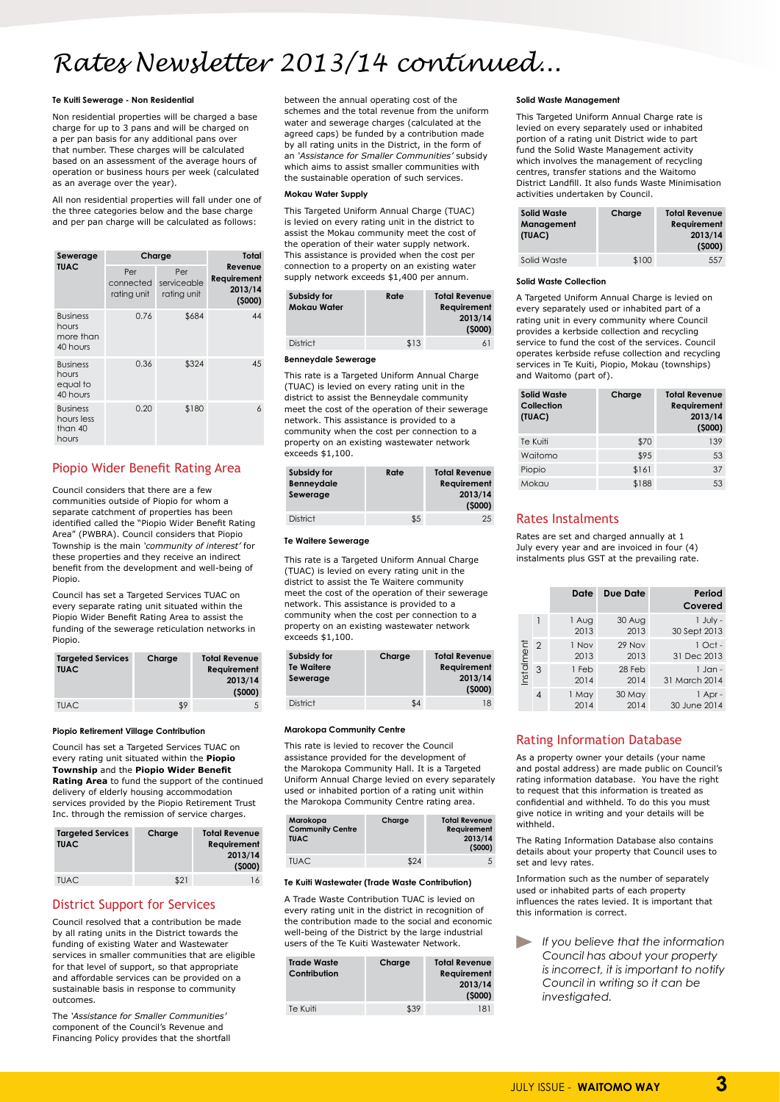# *Rates Newsletter 2013/14 continued...*

### **Te Kuiti Sewerage - Non Residential**

Non residential properties will be charged a base charge for up to 3 pans and will be charged on a per pan basis for any additional pans over that number. These charges will be calculated based on an assessment of the average hours of operation or business hours per week (calculated as an average over the year).

All non residential properties will fall under one of the three categories below and the base charge and per pan charge will be calculated as follows:

| Sewerage                                          |                                 | Charge                            | Total                                       |
|---------------------------------------------------|---------------------------------|-----------------------------------|---------------------------------------------|
| <b>TUAC</b>                                       | Per<br>connected<br>rating unit | Per<br>serviceable<br>rating unit | Revenue<br>Requirement<br>2013/14<br>(5000) |
| <b>Business</b><br>hours<br>more than<br>40 hours | 0.76                            | \$684                             | 44                                          |
| <b>Business</b><br>hours<br>equal to<br>40 hours  | 0.36                            | \$324                             | 45                                          |
| <b>Business</b><br>hours less<br>than 40<br>hours | 0.20                            | \$180                             | $\overline{6}$                              |

# Piopio Wider Benefit Rating Area

Council considers that there are a few communities outside of Piopio for whom a separate catchment of properties has been identified called the "Piopio Wider Benefit Rating Area" (PWBRA). Council considers that Piopio Township is the main *'community of interest'* for these properties and they receive an indirect benefit from the development and well-being of Piopio.

Council has set a Targeted Services TUAC on every separate rating unit situated within the Piopio Wider Benefit Rating Area to assist the funding of the sewerage reticulation networks in Piopio.

| <b>Targeted Services</b><br><b>TUAC</b> | Charge | <b>Total Revenue</b><br>Requirement<br>2013/14<br>(5000) |
|-----------------------------------------|--------|----------------------------------------------------------|
| <b>TUAC</b>                             | \$9    |                                                          |

### **Piopio Retirement Village Contribution**

Council has set a Targeted Services TUAC on every rating unit situated within the **Piopio Township** and the **Piopio Wider Benefit Rating Area** to fund the support of the continued delivery of elderly housing accommodation services provided by the Piopio Retirement Trust Inc. through the remission of service charges.

| <b>Targeted Services</b><br><b>TUAC</b> | Charge | <b>Total Revenue</b><br><b>Requirement</b><br>2013/14<br>(5000) |  |
|-----------------------------------------|--------|-----------------------------------------------------------------|--|
| <b>TUAC</b>                             | \$21   | 16                                                              |  |

# District Support for Services

Council resolved that a contribution be made by all rating units in the District towards the funding of existing Water and Wastewater services in smaller communities that are eligible for that level of support, so that appropriate and affordable services can be provided on a sustainable basis in response to community outcomes.

The *'Assistance for Smaller Communities'* component of the Council's Revenue and Financing Policy provides that the shortfall between the annual operating cost of the schemes and the total revenue from the uniform water and sewerage charges (calculated at the agreed caps) be funded by a contribution made by all rating units in the District, in the form of an *'Assistance for Smaller Communities'* subsidy which aims to assist smaller communities with the sustainable operation of such services.

### **Mokau Water Supply**

This Targeted Uniform Annual Charge (TUAC) is levied on every rating unit in the district to assist the Mokau community meet the cost of the operation of their water supply network. This assistance is provided when the cost per connection to a property on an existing water supply network exceeds \$1,400 per annum.

| Rate | <b>Total Revenue</b><br>Requirement<br>2013/14<br>(5000) |
|------|----------------------------------------------------------|
| \$13 | 6                                                        |
|      |                                                          |

### **Benneydale Sewerage**

This rate is a Targeted Uniform Annual Charge (TUAC) is levied on every rating unit in the district to assist the Benneydale community meet the cost of the operation of their sewerage network. This assistance is provided to a community when the cost per connection to a property on an existing wastewater network exceeds \$1,100.

| Subsidy for<br>Benneydale<br>Sewerage | Rate | <b>Total Revenue</b><br><b>Requirement</b><br>2013/14<br>(5000) |
|---------------------------------------|------|-----------------------------------------------------------------|
| <b>District</b>                       | \$5  | 25                                                              |

### **Te Waitere Sewerage**

This rate is a Targeted Uniform Annual Charge (TUAC) is levied on every rating unit in the district to assist the Te Waitere community meet the cost of the operation of their sewerage network. This assistance is provided to a community when the cost per connection to a property on an existing wastewater network exceeds \$1,100.

| Subsidy for<br><b>Te Waitere</b><br>Sewerage | Charge | <b>Total Revenue</b><br><b>Requirement</b><br>2013/14<br>(5000) |
|----------------------------------------------|--------|-----------------------------------------------------------------|
| <b>District</b>                              | \$4    | 18                                                              |

### **Marokopa Community Centre**

This rate is levied to recover the Council assistance provided for the development of the Marokopa Community Hall. It is a Targeted Uniform Annual Charge levied on every separately used or inhabited portion of a rating unit within the Marokopa Community Centre rating area.

| Marokopa                | Charge | <b>Total Revenue</b> |
|-------------------------|--------|----------------------|
| <b>Community Centre</b> |        | Requirement          |

| <b>Community Centre</b><br><b>TUAC</b> |      | Requirement<br>2013/14<br>(5000) |
|----------------------------------------|------|----------------------------------|
| <b>TUAC</b>                            | \$24 |                                  |

### **Te Kuiti Wastewater (Trade Waste Contribution)**

A Trade Waste Contribution TUAC is levied on every rating unit in the district in recognition of the contribution made to the social and economic well-being of the District by the large industrial users of the Te Kuiti Wastewater Network.

| <b>Trade Waste</b><br>Contribution | Charge | <b>Total Revenue</b><br><b>Requirement</b><br>2013/14<br>(5000) |
|------------------------------------|--------|-----------------------------------------------------------------|
| Te Kuiti                           | \$39   | 181                                                             |

### **Solid Waste Management**

This Targeted Uniform Annual Charge rate is levied on every separately used or inhabited portion of a rating unit District wide to part fund the Solid Waste Management activity which involves the management of recycling centres, transfer stations and the Waitomo District Landfill. It also funds Waste Minimisation activities undertaken by Council.

| Solid Waste<br>Management<br>(TUAC) | Charge | <b>Total Revenue</b><br><b>Requirement</b><br>2013/14<br>(5000) |
|-------------------------------------|--------|-----------------------------------------------------------------|
| Solid Waste                         | \$100  | 557                                                             |

### **Solid Waste Collection**

A Targeted Uniform Annual Charge is levied on every separately used or inhabited part of a rating unit in every community where Council provides a kerbside collection and recycling service to fund the cost of the services. Council operates kerbside refuse collection and recycling services in Te Kuiti, Piopio, Mokau (townships) and Waitomo (part of).

| <b>Solid Waste</b><br><b>Collection</b><br>(TUAC) | Charge | <b>Total Revenue</b><br>Requirement<br>2013/14<br>(5000) |
|---------------------------------------------------|--------|----------------------------------------------------------|
| Te Kuiti                                          | \$70   | 139                                                      |
| Waitomo                                           | \$95   | 53                                                       |
| Piopio                                            | \$161  | 37                                                       |
| Mokau                                             | \$188  | 53                                                       |

# Rates Instalments

Rates are set and charged annually at 1 July every year and are invoiced in four (4) instalments plus GST at the prevailing rate.

|            |                | Date          | <b>Due Date</b> | Period<br>Covered          |
|------------|----------------|---------------|-----------------|----------------------------|
|            |                | 1 Aug<br>2013 | 30 Aug<br>2013  | 1 July -<br>30 Sept 2013   |
|            | 2              | 1 Nov<br>2013 | 29 Nov<br>2013  | $1$ Oct -<br>31 Dec 2013   |
| Instalment | $\mathcal{S}$  | 1 Feb<br>2014 | 28 Feb<br>2014  | $1$ Jan -<br>31 March 2014 |
|            | $\overline{4}$ | 1 May<br>2014 | 30 May<br>2014  | 1 Apr -<br>30 June 2014    |

# Rating Information Database

As a property owner your details (your name and postal address) are made public on Council's rating information database. You have the right to request that this information is treated as confidential and withheld. To do this you must give notice in writing and your details will be withheld.

The Rating Information Database also contains details about your property that Council uses to set and levy rates.

Information such as the number of separately used or inhabited parts of each property influences the rates levied. It is important that this information is correct.

*If you believe that the information Council has about your property is incorrect, it is important to notify Council in writing so it can be investigated.*